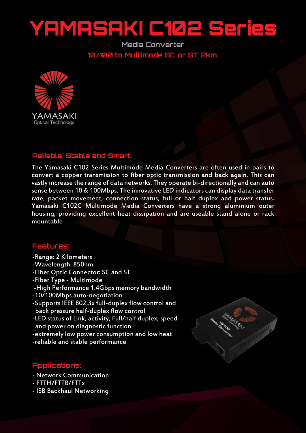## YAMASAKI C102 Series

**Media Converter 10/100 to Multimode SC or ST 2km.**



## **Reliable, Stable and Smart.**

The Yamasaki C102 Series Multimode Media Converters are often used in pairs to convert a copper transmission to fiber optic transmission and back again. This can vastly increase the range of data networks. They operate bi-directionally and can auto sense between 10 & 100Mbps. The innovative LED indicators can display data transfer rate, packet movement, connection status, full or half duplex and power status. Yamasaki C102C Multimode Media Converters have a strong aluminium outer housing, providing excellent heat dissipation and are useable stand alone or rack mountable

## **Features:**

- -Range: 2 Kilometers
- -Wavelength: 850nm
- -Fiber Optic Connector: SC and ST
- -Fiber Type Multimode
- -High Performance 1.4Gbps memory bandwidth
- -10/100Mbps auto-negotiation
- -Supports IEEE 802.3x full-duplex flow control and back pressure half-duplex flow control
- -LED status of Link, activity, Full/half duplex, speed and power on diagnostic function
- -extremely low power consumption and low heat
- -reliable and stable performance



## **Applications:**

- Network Communication
- FTTH/FTTB/FTTx
- ISB Backhaul Networking